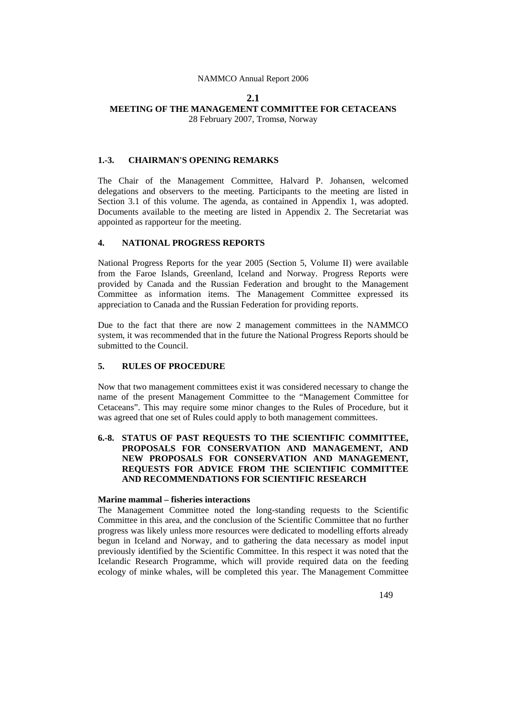## **2.1**

## **MEETING OF THE MANAGEMENT COMMITTEE FOR CETACEANS**

28 February 2007, Tromsø, Norway

#### **1.-3. CHAIRMAN'S OPENING REMARKS**

The Chair of the Management Committee, Halvard P. Johansen, welcomed delegations and observers to the meeting. Participants to the meeting are listed in Section 3.1 of this volume. The agenda, as contained in Appendix 1, was adopted. Documents available to the meeting are listed in Appendix 2. The Secretariat was appointed as rapporteur for the meeting.

## **4. NATIONAL PROGRESS REPORTS**

National Progress Reports for the year 2005 (Section 5, Volume II) were available from the Faroe Islands, Greenland, Iceland and Norway. Progress Reports were provided by Canada and the Russian Federation and brought to the Management Committee as information items. The Management Committee expressed its appreciation to Canada and the Russian Federation for providing reports.

Due to the fact that there are now 2 management committees in the NAMMCO system, it was recommended that in the future the National Progress Reports should be submitted to the Council.

#### **5. RULES OF PROCEDURE**

Now that two management committees exist it was considered necessary to change the name of the present Management Committee to the "Management Committee for Cetaceans". This may require some minor changes to the Rules of Procedure, but it was agreed that one set of Rules could apply to both management committees.

## **6.-8. STATUS OF PAST REQUESTS TO THE SCIENTIFIC COMMITTEE, PROPOSALS FOR CONSERVATION AND MANAGEMENT, AND NEW PROPOSALS FOR CONSERVATION AND MANAGEMENT, REQUESTS FOR ADVICE FROM THE SCIENTIFIC COMMITTEE AND RECOMMENDATIONS FOR SCIENTIFIC RESEARCH**

#### **Marine mammal – fisheries interactions**

The Management Committee noted the long-standing requests to the Scientific Committee in this area, and the conclusion of the Scientific Committee that no further progress was likely unless more resources were dedicated to modelling efforts already begun in Iceland and Norway, and to gathering the data necessary as model input previously identified by the Scientific Committee. In this respect it was noted that the Icelandic Research Programme, which will provide required data on the feeding ecology of minke whales, will be completed this year. The Management Committee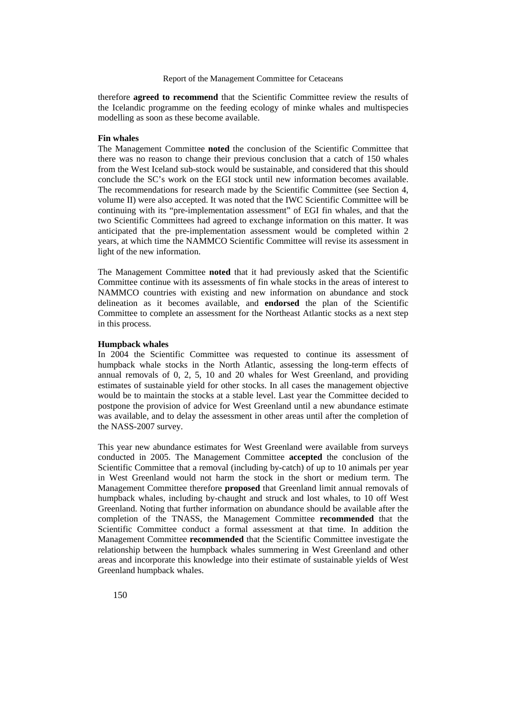therefore **agreed to recommend** that the Scientific Committee review the results of the Icelandic programme on the feeding ecology of minke whales and multispecies modelling as soon as these become available.

#### **Fin whales**

The Management Committee **noted** the conclusion of the Scientific Committee that there was no reason to change their previous conclusion that a catch of 150 whales from the West Iceland sub-stock would be sustainable, and considered that this should conclude the SC's work on the EGI stock until new information becomes available. The recommendations for research made by the Scientific Committee (see Section 4, volume II) were also accepted. It was noted that the IWC Scientific Committee will be continuing with its "pre-implementation assessment" of EGI fin whales, and that the two Scientific Committees had agreed to exchange information on this matter. It was anticipated that the pre-implementation assessment would be completed within 2 years, at which time the NAMMCO Scientific Committee will revise its assessment in light of the new information.

The Management Committee **noted** that it had previously asked that the Scientific Committee continue with its assessments of fin whale stocks in the areas of interest to NAMMCO countries with existing and new information on abundance and stock delineation as it becomes available, and **endorsed** the plan of the Scientific Committee to complete an assessment for the Northeast Atlantic stocks as a next step in this process.

#### **Humpback whales**

In 2004 the Scientific Committee was requested to continue its assessment of humpback whale stocks in the North Atlantic, assessing the long-term effects of annual removals of 0, 2, 5, 10 and 20 whales for West Greenland, and providing estimates of sustainable yield for other stocks. In all cases the management objective would be to maintain the stocks at a stable level. Last year the Committee decided to postpone the provision of advice for West Greenland until a new abundance estimate was available, and to delay the assessment in other areas until after the completion of the NASS-2007 survey.

This year new abundance estimates for West Greenland were available from surveys conducted in 2005. The Management Committee **accepted** the conclusion of the Scientific Committee that a removal (including by-catch) of up to 10 animals per year in West Greenland would not harm the stock in the short or medium term. The Management Committee therefore **proposed** that Greenland limit annual removals of humpback whales, including by-chaught and struck and lost whales, to 10 off West Greenland. Noting that further information on abundance should be available after the completion of the TNASS, the Management Committee **recommended** that the Scientific Committee conduct a formal assessment at that time. In addition the Management Committee **recommended** that the Scientific Committee investigate the relationship between the humpback whales summering in West Greenland and other areas and incorporate this knowledge into their estimate of sustainable yields of West Greenland humpback whales.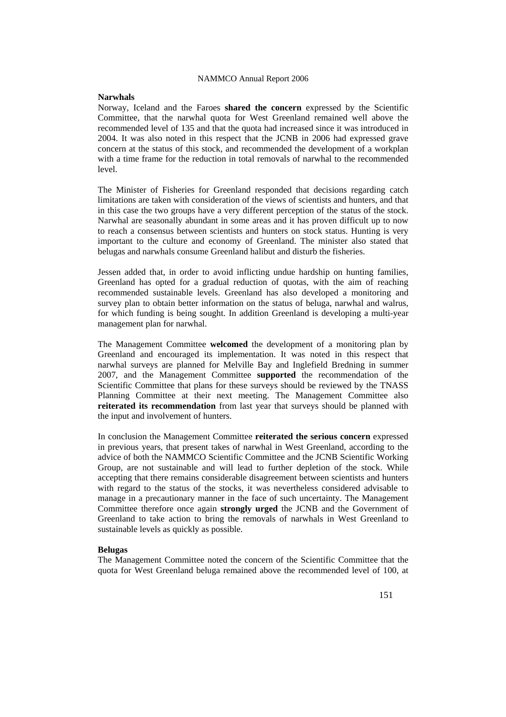### **Narwhals**

Norway, Iceland and the Faroes **shared the concern** expressed by the Scientific Committee, that the narwhal quota for West Greenland remained well above the recommended level of 135 and that the quota had increased since it was introduced in 2004. It was also noted in this respect that the JCNB in 2006 had expressed grave concern at the status of this stock, and recommended the development of a workplan with a time frame for the reduction in total removals of narwhal to the recommended  $level.$ 

The Minister of Fisheries for Greenland responded that decisions regarding catch limitations are taken with consideration of the views of scientists and hunters, and that in this case the two groups have a very different perception of the status of the stock. Narwhal are seasonally abundant in some areas and it has proven difficult up to now to reach a consensus between scientists and hunters on stock status. Hunting is very important to the culture and economy of Greenland. The minister also stated that belugas and narwhals consume Greenland halibut and disturb the fisheries.

Jessen added that, in order to avoid inflicting undue hardship on hunting families, Greenland has opted for a gradual reduction of quotas, with the aim of reaching recommended sustainable levels. Greenland has also developed a monitoring and survey plan to obtain better information on the status of beluga, narwhal and walrus, for which funding is being sought. In addition Greenland is developing a multi-year management plan for narwhal.

The Management Committee **welcomed** the development of a monitoring plan by Greenland and encouraged its implementation. It was noted in this respect that narwhal surveys are planned for Melville Bay and Inglefield Bredning in summer 2007, and the Management Committee **supported** the recommendation of the Scientific Committee that plans for these surveys should be reviewed by the TNASS Planning Committee at their next meeting. The Management Committee also **reiterated its recommendation** from last year that surveys should be planned with the input and involvement of hunters.

In conclusion the Management Committee **reiterated the serious concern** expressed in previous years, that present takes of narwhal in West Greenland, according to the advice of both the NAMMCO Scientific Committee and the JCNB Scientific Working Group, are not sustainable and will lead to further depletion of the stock. While accepting that there remains considerable disagreement between scientists and hunters with regard to the status of the stocks, it was nevertheless considered advisable to manage in a precautionary manner in the face of such uncertainty. The Management Committee therefore once again **strongly urged** the JCNB and the Government of Greenland to take action to bring the removals of narwhals in West Greenland to sustainable levels as quickly as possible.

#### **Belugas**

The Management Committee noted the concern of the Scientific Committee that the quota for West Greenland beluga remained above the recommended level of 100, at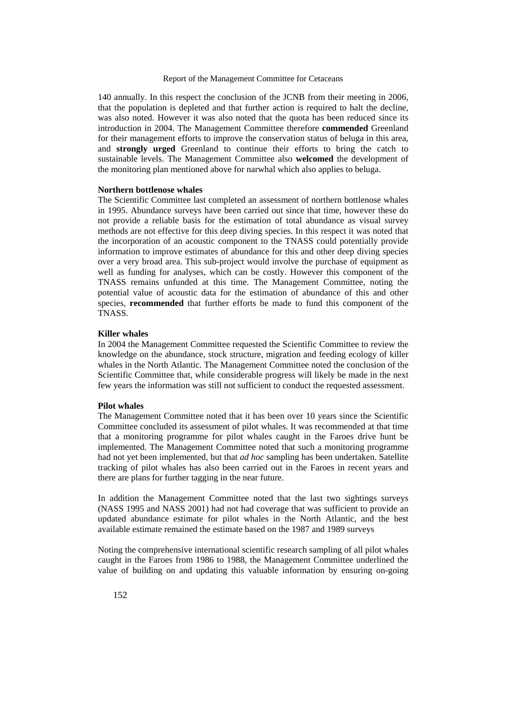140 annually. In this respect the conclusion of the JCNB from their meeting in 2006, that the population is depleted and that further action is required to halt the decline, was also noted. However it was also noted that the quota has been reduced since its introduction in 2004. The Management Committee therefore **commended** Greenland for their management efforts to improve the conservation status of beluga in this area, and **strongly urged** Greenland to continue their efforts to bring the catch to sustainable levels. The Management Committee also **welcomed** the development of the monitoring plan mentioned above for narwhal which also applies to beluga.

### **Northern bottlenose whales**

The Scientific Committee last completed an assessment of northern bottlenose whales in 1995. Abundance surveys have been carried out since that time, however these do not provide a reliable basis for the estimation of total abundance as visual survey methods are not effective for this deep diving species. In this respect it was noted that the incorporation of an acoustic component to the TNASS could potentially provide information to improve estimates of abundance for this and other deep diving species over a very broad area. This sub-project would involve the purchase of equipment as well as funding for analyses, which can be costly. However this component of the TNASS remains unfunded at this time. The Management Committee, noting the potential value of acoustic data for the estimation of abundance of this and other species, **recommended** that further efforts be made to fund this component of the TNASS.

### **Killer whales**

In 2004 the Management Committee requested the Scientific Committee to review the knowledge on the abundance, stock structure, migration and feeding ecology of killer whales in the North Atlantic. The Management Committee noted the conclusion of the Scientific Committee that, while considerable progress will likely be made in the next few years the information was still not sufficient to conduct the requested assessment.

#### **Pilot whales**

The Management Committee noted that it has been over 10 years since the Scientific Committee concluded its assessment of pilot whales. It was recommended at that time that a monitoring programme for pilot whales caught in the Faroes drive hunt be implemented. The Management Committee noted that such a monitoring programme had not yet been implemented, but that *ad hoc* sampling has been undertaken. Satellite tracking of pilot whales has also been carried out in the Faroes in recent years and there are plans for further tagging in the near future.

In addition the Management Committee noted that the last two sightings surveys (NASS 1995 and NASS 2001) had not had coverage that was sufficient to provide an updated abundance estimate for pilot whales in the North Atlantic, and the best available estimate remained the estimate based on the 1987 and 1989 surveys

Noting the comprehensive international scientific research sampling of all pilot whales caught in the Faroes from 1986 to 1988, the Management Committee underlined the value of building on and updating this valuable information by ensuring on-going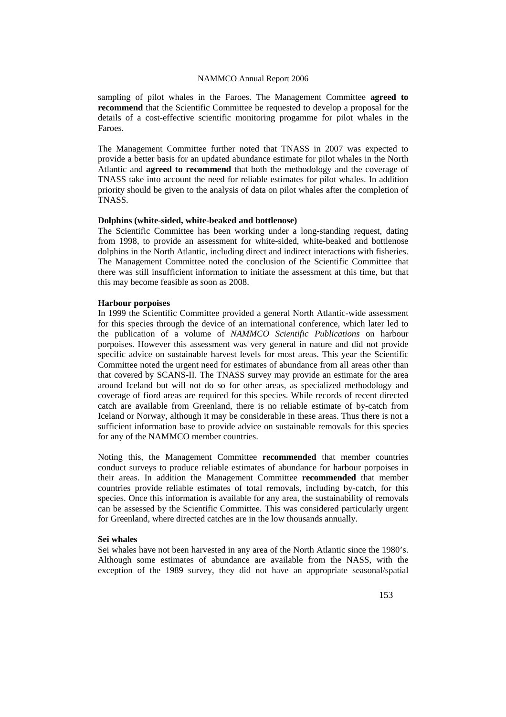sampling of pilot whales in the Faroes. The Management Committee **agreed to recommend** that the Scientific Committee be requested to develop a proposal for the details of a cost-effective scientific monitoring progamme for pilot whales in the Faroes.

The Management Committee further noted that TNASS in 2007 was expected to provide a better basis for an updated abundance estimate for pilot whales in the North Atlantic and **agreed to recommend** that both the methodology and the coverage of TNASS take into account the need for reliable estimates for pilot whales. In addition priority should be given to the analysis of data on pilot whales after the completion of TNASS.

#### **Dolphins (white-sided, white-beaked and bottlenose)**

The Scientific Committee has been working under a long-standing request, dating from 1998, to provide an assessment for white-sided, white-beaked and bottlenose dolphins in the North Atlantic, including direct and indirect interactions with fisheries. The Management Committee noted the conclusion of the Scientific Committee that there was still insufficient information to initiate the assessment at this time, but that this may become feasible as soon as 2008.

#### **Harbour porpoises**

In 1999 the Scientific Committee provided a general North Atlantic-wide assessment for this species through the device of an international conference, which later led to the publication of a volume of *NAMMCO Scientific Publications* on harbour porpoises. However this assessment was very general in nature and did not provide specific advice on sustainable harvest levels for most areas. This year the Scientific Committee noted the urgent need for estimates of abundance from all areas other than that covered by SCANS-II. The TNASS survey may provide an estimate for the area around Iceland but will not do so for other areas, as specialized methodology and coverage of fiord areas are required for this species. While records of recent directed catch are available from Greenland, there is no reliable estimate of by-catch from Iceland or Norway, although it may be considerable in these areas. Thus there is not a sufficient information base to provide advice on sustainable removals for this species for any of the NAMMCO member countries.

Noting this, the Management Committee **recommended** that member countries conduct surveys to produce reliable estimates of abundance for harbour porpoises in their areas. In addition the Management Committee **recommended** that member countries provide reliable estimates of total removals, including by-catch, for this species. Once this information is available for any area, the sustainability of removals can be assessed by the Scientific Committee. This was considered particularly urgent for Greenland, where directed catches are in the low thousands annually.

#### **Sei whales**

Sei whales have not been harvested in any area of the North Atlantic since the 1980's. Although some estimates of abundance are available from the NASS, with the exception of the 1989 survey, they did not have an appropriate seasonal/spatial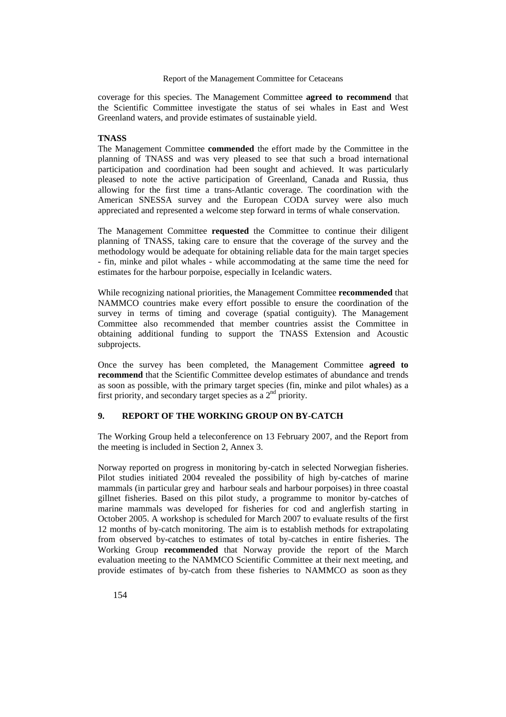coverage for this species. The Management Committee **agreed to recommend** that the Scientific Committee investigate the status of sei whales in East and West Greenland waters, and provide estimates of sustainable yield.

### **TNASS**

The Management Committee **commended** the effort made by the Committee in the planning of TNASS and was very pleased to see that such a broad international participation and coordination had been sought and achieved. It was particularly pleased to note the active participation of Greenland, Canada and Russia, thus allowing for the first time a trans-Atlantic coverage. The coordination with the American SNESSA survey and the European CODA survey were also much appreciated and represented a welcome step forward in terms of whale conservation.

The Management Committee **requested** the Committee to continue their diligent planning of TNASS, taking care to ensure that the coverage of the survey and the methodology would be adequate for obtaining reliable data for the main target species - fin, minke and pilot whales - while accommodating at the same time the need for estimates for the harbour porpoise, especially in Icelandic waters.

While recognizing national priorities, the Management Committee **recommended** that NAMMCO countries make every effort possible to ensure the coordination of the survey in terms of timing and coverage (spatial contiguity). The Management Committee also recommended that member countries assist the Committee in obtaining additional funding to support the TNASS Extension and Acoustic subprojects.

Once the survey has been completed, the Management Committee **agreed to recommend** that the Scientific Committee develop estimates of abundance and trends as soon as possible, with the primary target species (fin, minke and pilot whales) as a first priority, and secondary target species as a 2nd priority.

# **9. REPORT OF THE WORKING GROUP ON BY-CATCH**

The Working Group held a teleconference on 13 February 2007, and the Report from the meeting is included in Section 2, Annex 3.

Norway reported on progress in monitoring by-catch in selected Norwegian fisheries. Pilot studies initiated 2004 revealed the possibility of high by-catches of marine mammals (in particular grey and harbour seals and harbour porpoises) in three coastal gillnet fisheries. Based on this pilot study, a programme to monitor by-catches of marine mammals was developed for fisheries for cod and anglerfish starting in October 2005. A workshop is scheduled for March 2007 to evaluate results of the first 12 months of by-catch monitoring. The aim is to establish methods for extrapolating from observed by-catches to estimates of total by-catches in entire fisheries. The Working Group **recommended** that Norway provide the report of the March evaluation meeting to the NAMMCO Scientific Committee at their next meeting, and provide estimates of by-catch from these fisheries to NAMMCO as soon as they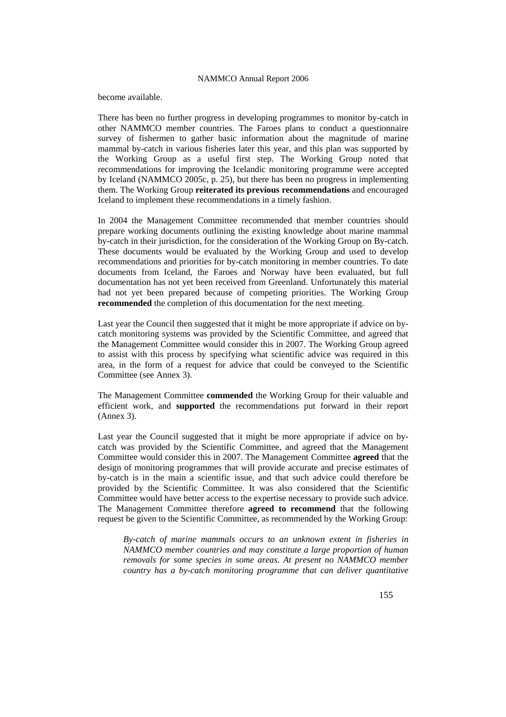become available.

There has been no further progress in developing programmes to monitor by-catch in other NAMMCO member countries. The Faroes plans to conduct a questionnaire survey of fishermen to gather basic information about the magnitude of marine mammal by-catch in various fisheries later this year, and this plan was supported by the Working Group as a useful first step. The Working Group noted that recommendations for improving the Icelandic monitoring programme were accepted by Iceland (NAMMCO 2005c, p. 25), but there has been no progress in implementing them. The Working Group **reiterated its previous recommendations** and encouraged Iceland to implement these recommendations in a timely fashion.

In 2004 the Management Committee recommended that member countries should prepare working documents outlining the existing knowledge about marine mammal by-catch in their jurisdiction, for the consideration of the Working Group on By-catch. These documents would be evaluated by the Working Group and used to develop recommendations and priorities for by-catch monitoring in member countries. To date documents from Iceland, the Faroes and Norway have been evaluated, but full documentation has not yet been received from Greenland. Unfortunately this material had not yet been prepared because of competing priorities. The Working Group **recommended** the completion of this documentation for the next meeting.

Last year the Council then suggested that it might be more appropriate if advice on bycatch monitoring systems was provided by the Scientific Committee, and agreed that the Management Committee would consider this in 2007. The Working Group agreed to assist with this process by specifying what scientific advice was required in this area, in the form of a request for advice that could be conveyed to the Scientific Committee (see Annex 3).

The Management Committee **commended** the Working Group for their valuable and efficient work, and **supported** the recommendations put forward in their report (Annex 3).

Last year the Council suggested that it might be more appropriate if advice on bycatch was provided by the Scientific Committee, and agreed that the Management Committee would consider this in 2007. The Management Committee **agreed** that the design of monitoring programmes that will provide accurate and precise estimates of by-catch is in the main a scientific issue, and that such advice could therefore be provided by the Scientific Committee. It was also considered that the Scientific Committee would have better access to the expertise necessary to provide such advice. The Management Committee therefore **agreed to recommend** that the following request be given to the Scientific Committee, as recommended by the Working Group:

*By-catch of marine mammals occurs to an unknown extent in fisheries in NAMMCO member countries and may constitute a large proportion of human removals for some species in some areas. At present no NAMMCO member country has a by-catch monitoring programme that can deliver quantitative*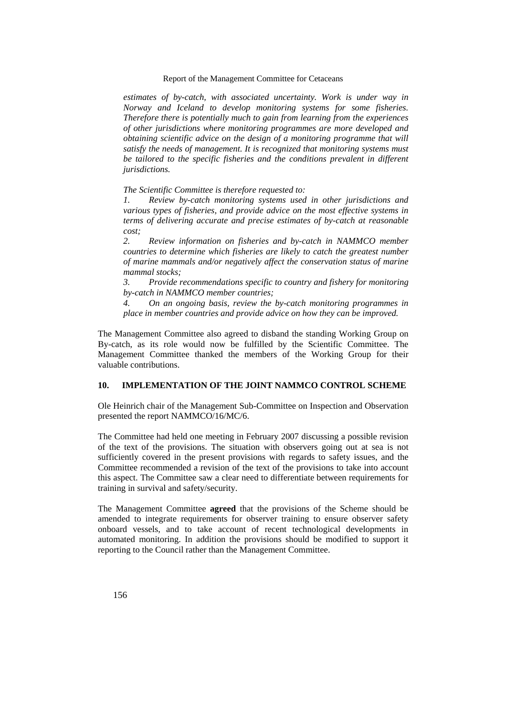*estimates of by-catch, with associated uncertainty. Work is under way in Norway and Iceland to develop monitoring systems for some fisheries. Therefore there is potentially much to gain from learning from the experiences of other jurisdictions where monitoring programmes are more developed and obtaining scientific advice on the design of a monitoring programme that will satisfy the needs of management. It is recognized that monitoring systems must*  be tailored to the specific fisheries and the conditions prevalent in different *jurisdictions.* 

*The Scientific Committee is therefore requested to:* 

*1. Review by-catch monitoring systems used in other jurisdictions and various types of fisheries, and provide advice on the most effective systems in terms of delivering accurate and precise estimates of by-catch at reasonable cost;* 

*2. Review information on fisheries and by-catch in NAMMCO member countries to determine which fisheries are likely to catch the greatest number of marine mammals and/or negatively affect the conservation status of marine mammal stocks;* 

*3. Provide recommendations specific to country and fishery for monitoring by-catch in NAMMCO member countries;* 

*4. On an ongoing basis, review the by-catch monitoring programmes in place in member countries and provide advice on how they can be improved.* 

The Management Committee also agreed to disband the standing Working Group on By-catch, as its role would now be fulfilled by the Scientific Committee. The Management Committee thanked the members of the Working Group for their valuable contributions.

## **10. IMPLEMENTATION OF THE JOINT NAMMCO CONTROL SCHEME**

Ole Heinrich chair of the Management Sub-Committee on Inspection and Observation presented the report NAMMCO/16/MC/6.

The Committee had held one meeting in February 2007 discussing a possible revision of the text of the provisions. The situation with observers going out at sea is not sufficiently covered in the present provisions with regards to safety issues, and the Committee recommended a revision of the text of the provisions to take into account this aspect. The Committee saw a clear need to differentiate between requirements for training in survival and safety/security.

The Management Committee **agreed** that the provisions of the Scheme should be amended to integrate requirements for observer training to ensure observer safety onboard vessels, and to take account of recent technological developments in automated monitoring. In addition the provisions should be modified to support it reporting to the Council rather than the Management Committee.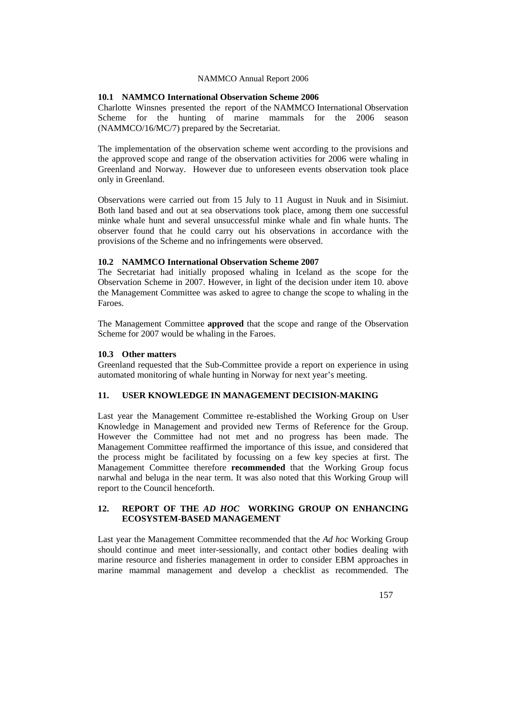## **10.1 NAMMCO International Observation Scheme 2006**

Charlotte Winsnes presented the report of the NAMMCO International Observation Scheme for the hunting of marine mammals for the 2006 season (NAMMCO/16/MC/7) prepared by the Secretariat.

The implementation of the observation scheme went according to the provisions and the approved scope and range of the observation activities for 2006 were whaling in Greenland and Norway. However due to unforeseen events observation took place only in Greenland.

Observations were carried out from 15 July to 11 August in Nuuk and in Sisimiut. Both land based and out at sea observations took place, among them one successful minke whale hunt and several unsuccessful minke whale and fin whale hunts. The observer found that he could carry out his observations in accordance with the provisions of the Scheme and no infringements were observed.

### **10.2 NAMMCO International Observation Scheme 2007**

The Secretariat had initially proposed whaling in Iceland as the scope for the Observation Scheme in 2007. However, in light of the decision under item 10. above the Management Committee was asked to agree to change the scope to whaling in the Faroes.

The Management Committee **approved** that the scope and range of the Observation Scheme for 2007 would be whaling in the Faroes.

### **10.3 Other matters**

Greenland requested that the Sub-Committee provide a report on experience in using automated monitoring of whale hunting in Norway for next year's meeting.

## **11. USER KNOWLEDGE IN MANAGEMENT DECISION-MAKING**

Last year the Management Committee re-established the Working Group on User Knowledge in Management and provided new Terms of Reference for the Group. However the Committee had not met and no progress has been made. The Management Committee reaffirmed the importance of this issue, and considered that the process might be facilitated by focussing on a few key species at first. The Management Committee therefore **recommended** that the Working Group focus narwhal and beluga in the near term. It was also noted that this Working Group will report to the Council henceforth.

## **12. REPORT OF THE** *AD HOC* **WORKING GROUP ON ENHANCING ECOSYSTEM-BASED MANAGEMENT**

Last year the Management Committee recommended that the *Ad hoc* Working Group should continue and meet inter-sessionally, and contact other bodies dealing with marine resource and fisheries management in order to consider EBM approaches in marine mammal management and develop a checklist as recommended. The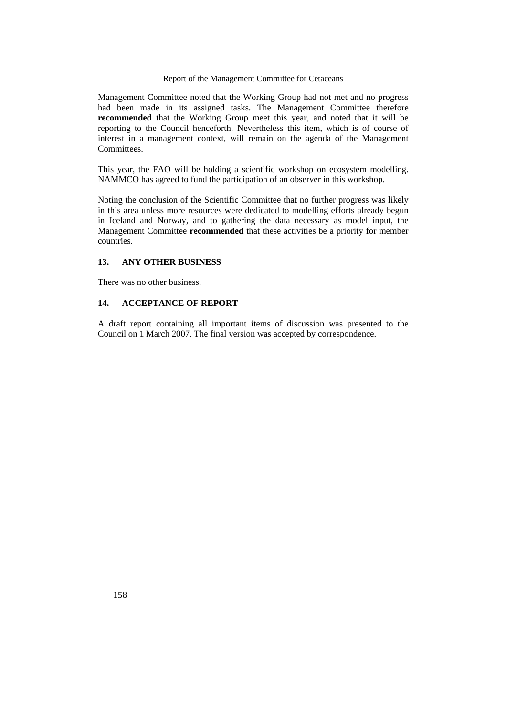Management Committee noted that the Working Group had not met and no progress had been made in its assigned tasks. The Management Committee therefore **recommended** that the Working Group meet this year, and noted that it will be reporting to the Council henceforth. Nevertheless this item, which is of course of interest in a management context, will remain on the agenda of the Management Committees.

This year, the FAO will be holding a scientific workshop on ecosystem modelling. NAMMCO has agreed to fund the participation of an observer in this workshop.

Noting the conclusion of the Scientific Committee that no further progress was likely in this area unless more resources were dedicated to modelling efforts already begun in Iceland and Norway, and to gathering the data necessary as model input, the Management Committee **recommended** that these activities be a priority for member countries.

## **13. ANY OTHER BUSINESS**

There was no other business.

## **14. ACCEPTANCE OF REPORT**

A draft report containing all important items of discussion was presented to the Council on 1 March 2007. The final version was accepted by correspondence.